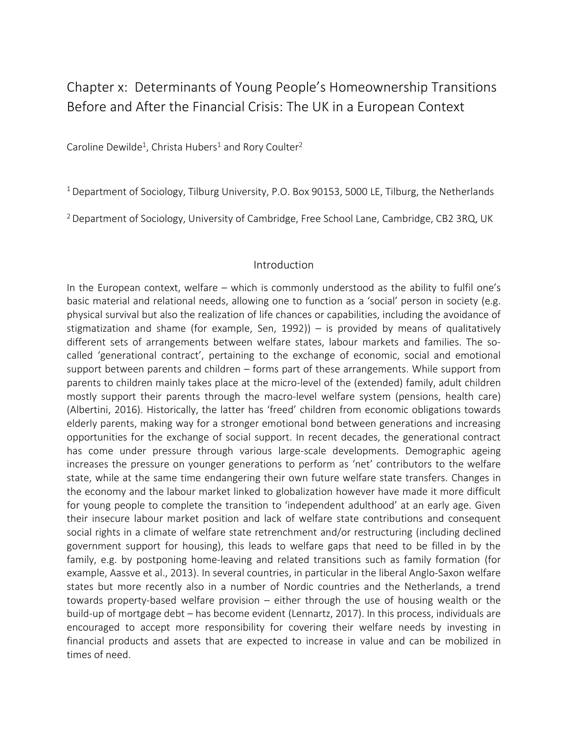# Chapter x: Determinants of Young People's Homeownership Transitions Before and After the Financial Crisis: The UK in a European Context

Caroline Dewilde<sup>1</sup>, Christa Hubers<sup>1</sup> and Rory Coulter<sup>2</sup>

<sup>1</sup> Department of Sociology, Tilburg University, P.O. Box 90153, 5000 LE, Tilburg, the Netherlands

<sup>2</sup> Department of Sociology, University of Cambridge, Free School Lane, Cambridge, CB2 3RQ, UK

## Introduction

In the European context, welfare – which is commonly understood as the ability to fulfil one's basic material and relational needs, allowing one to function as a 'social' person in society (e.g. physical survival but also the realization of life chances or capabilities, including the avoidance of stigmatization and shame (for example, Sen, 1992)) – is provided by means of qualitatively different sets of arrangements between welfare states, labour markets and families. The socalled 'generational contract', pertaining to the exchange of economic, social and emotional support between parents and children – forms part of these arrangements. While support from parents to children mainly takes place at the micro-level of the (extended) family, adult children mostly support their parents through the macro-level welfare system (pensions, health care) (Albertini, 2016). Historically, the latter has 'freed' children from economic obligations towards elderly parents, making way for a stronger emotional bond between generations and increasing opportunities for the exchange of social support. In recent decades, the generational contract has come under pressure through various large-scale developments. Demographic ageing increases the pressure on younger generations to perform as 'net' contributors to the welfare state, while at the same time endangering their own future welfare state transfers. Changes in the economy and the labour market linked to globalization however have made it more difficult for young people to complete the transition to 'independent adulthood' at an early age. Given their insecure labour market position and lack of welfare state contributions and consequent social rights in a climate of welfare state retrenchment and/or restructuring (including declined government support for housing), this leads to welfare gaps that need to be filled in by the family, e.g. by postponing home-leaving and related transitions such as family formation (for example, Aassve et al., 2013). In several countries, in particular in the liberal Anglo-Saxon welfare states but more recently also in a number of Nordic countries and the Netherlands, a trend towards property-based welfare provision – either through the use of housing wealth or the build-up of mortgage debt – has become evident (Lennartz, 2017). In this process, individuals are encouraged to accept more responsibility for covering their welfare needs by investing in financial products and assets that are expected to increase in value and can be mobilized in times of need.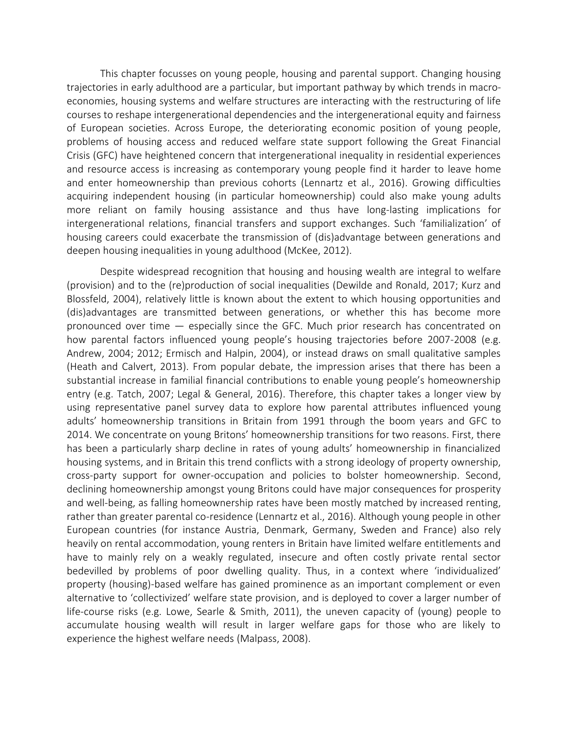This chapter focusses on young people, housing and parental support. Changing housing trajectories in early adulthood are a particular, but important pathway by which trends in macroeconomies, housing systems and welfare structures are interacting with the restructuring of life courses to reshape intergenerational dependencies and the intergenerational equity and fairness of European societies. Across Europe, the deteriorating economic position of young people, problems of housing access and reduced welfare state support following the Great Financial Crisis (GFC) have heightened concern that intergenerational inequality in residential experiences and resource access is increasing as contemporary young people find it harder to leave home and enter homeownership than previous cohorts (Lennartz et al., 2016). Growing difficulties acquiring independent housing (in particular homeownership) could also make young adults more reliant on family housing assistance and thus have long-lasting implications for intergenerational relations, financial transfers and support exchanges. Such 'familialization' of housing careers could exacerbate the transmission of (dis)advantage between generations and deepen housing inequalities in young adulthood (McKee, 2012).

Despite widespread recognition that housing and housing wealth are integral to welfare (provision) and to the (re)production of social inequalities (Dewilde and Ronald, 2017; Kurz and Blossfeld, 2004), relatively little is known about the extent to which housing opportunities and (dis)advantages are transmitted between generations, or whether this has become more pronounced over time — especially since the GFC. Much prior research has concentrated on how parental factors influenced young people's housing trajectories before 2007-2008 (e.g. Andrew, 2004; 2012; Ermisch and Halpin, 2004), or instead draws on small qualitative samples (Heath and Calvert, 2013). From popular debate, the impression arises that there has been a substantial increase in familial financial contributions to enable young people's homeownership entry (e.g. Tatch, 2007; Legal & General, 2016). Therefore, this chapter takes a longer view by using representative panel survey data to explore how parental attributes influenced young adults' homeownership transitions in Britain from 1991 through the boom years and GFC to 2014. We concentrate on young Britons' homeownership transitions for two reasons. First, there has been a particularly sharp decline in rates of young adults' homeownership in financialized housing systems, and in Britain this trend conflicts with a strong ideology of property ownership, cross-party support for owner-occupation and policies to bolster homeownership. Second, declining homeownership amongst young Britons could have major consequences for prosperity and well-being, as falling homeownership rates have been mostly matched by increased renting, rather than greater parental co-residence (Lennartz et al., 2016). Although young people in other European countries (for instance Austria, Denmark, Germany, Sweden and France) also rely heavily on rental accommodation, young renters in Britain have limited welfare entitlements and have to mainly rely on a weakly regulated, insecure and often costly private rental sector bedevilled by problems of poor dwelling quality. Thus, in a context where 'individualized' property (housing)-based welfare has gained prominence as an important complement or even alternative to 'collectivized' welfare state provision, and is deployed to cover a larger number of life-course risks (e.g. Lowe, Searle & Smith, 2011), the uneven capacity of (young) people to accumulate housing wealth will result in larger welfare gaps for those who are likely to experience the highest welfare needs (Malpass, 2008).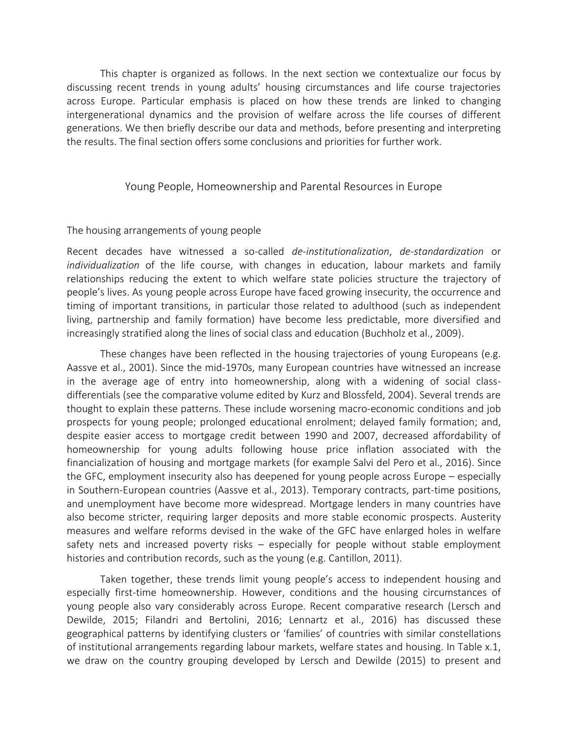This chapter is organized as follows. In the next section we contextualize our focus by discussing recent trends in young adults' housing circumstances and life course trajectories across Europe. Particular emphasis is placed on how these trends are linked to changing intergenerational dynamics and the provision of welfare across the life courses of different generations. We then briefly describe our data and methods, before presenting and interpreting the results. The final section offers some conclusions and priorities for further work.

# Young People, Homeownership and Parental Resources in Europe

#### The housing arrangements of young people

Recent decades have witnessed a so-called *de-institutionalization*, *de-standardization* or *individualization* of the life course, with changes in education, labour markets and family relationships reducing the extent to which welfare state policies structure the trajectory of people's lives. As young people across Europe have faced growing insecurity, the occurrence and timing of important transitions, in particular those related to adulthood (such as independent living, partnership and family formation) have become less predictable, more diversified and increasingly stratified along the lines of social class and education (Buchholz et al., 2009).

These changes have been reflected in the housing trajectories of young Europeans (e.g. Aassve et al., 2001). Since the mid-1970s, many European countries have witnessed an increase in the average age of entry into homeownership, along with a widening of social classdifferentials (see the comparative volume edited by Kurz and Blossfeld, 2004). Several trends are thought to explain these patterns. These include worsening macro-economic conditions and job prospects for young people; prolonged educational enrolment; delayed family formation; and, despite easier access to mortgage credit between 1990 and 2007, decreased affordability of homeownership for young adults following house price inflation associated with the financialization of housing and mortgage markets (for example Salvi del Pero et al., 2016). Since the GFC, employment insecurity also has deepened for young people across Europe – especially in Southern-European countries (Aassve et al., 2013). Temporary contracts, part-time positions, and unemployment have become more widespread. Mortgage lenders in many countries have also become stricter, requiring larger deposits and more stable economic prospects. Austerity measures and welfare reforms devised in the wake of the GFC have enlarged holes in welfare safety nets and increased poverty risks – especially for people without stable employment histories and contribution records, such as the young (e.g. Cantillon, 2011).

Taken together, these trends limit young people's access to independent housing and especially first-time homeownership. However, conditions and the housing circumstances of young people also vary considerably across Europe. Recent comparative research (Lersch and Dewilde, 2015; Filandri and Bertolini, 2016; Lennartz et al., 2016) has discussed these geographical patterns by identifying clusters or 'families' of countries with similar constellations of institutional arrangements regarding labour markets, welfare states and housing. In Table x.1, we draw on the country grouping developed by Lersch and Dewilde (2015) to present and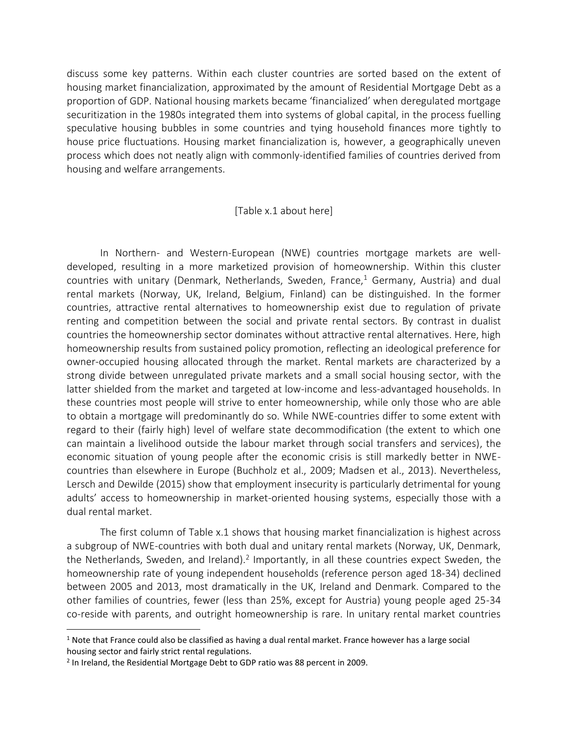discuss some key patterns. Within each cluster countries are sorted based on the extent of housing market financialization, approximated by the amount of Residential Mortgage Debt as a proportion of GDP. National housing markets became 'financialized' when deregulated mortgage securitization in the 1980s integrated them into systems of global capital, in the process fuelling speculative housing bubbles in some countries and tying household finances more tightly to house price fluctuations. Housing market financialization is, however, a geographically uneven process which does not neatly align with commonly-identified families of countries derived from housing and welfare arrangements.

## [Table x.1 about here]

In Northern- and Western-European (NWE) countries mortgage markets are welldeveloped, resulting in a more marketized provision of homeownership. Within this cluster countries with unitary (Denmark, Netherlands, Sweden, France, $1$  Germany, Austria) and dual rental markets (Norway, UK, Ireland, Belgium, Finland) can be distinguished. In the former countries, attractive rental alternatives to homeownership exist due to regulation of private renting and competition between the social and private rental sectors. By contrast in dualist countries the homeownership sector dominates without attractive rental alternatives. Here, high homeownership results from sustained policy promotion, reflecting an ideological preference for owner-occupied housing allocated through the market. Rental markets are characterized by a strong divide between unregulated private markets and a small social housing sector, with the latter shielded from the market and targeted at low-income and less-advantaged households. In these countries most people will strive to enter homeownership, while only those who are able to obtain a mortgage will predominantly do so. While NWE-countries differ to some extent with regard to their (fairly high) level of welfare state decommodification (the extent to which one can maintain a livelihood outside the labour market through social transfers and services), the economic situation of young people after the economic crisis is still markedly better in NWEcountries than elsewhere in Europe (Buchholz et al., 2009; Madsen et al., 2013). Nevertheless, Lersch and Dewilde (2015) show that employment insecurity is particularly detrimental for young adults' access to homeownership in market-oriented housing systems, especially those with a dual rental market.

The first column of Table x.1 shows that housing market financialization is highest across a subgroup of NWE-countries with both dual and unitary rental markets (Norway, UK, Denmark, the Netherlands, Sweden, and Ireland).<sup>2</sup> Importantly, in all these countries expect Sweden, the homeownership rate of young independent households (reference person aged 18-34) declined between 2005 and 2013, most dramatically in the UK, Ireland and Denmark. Compared to the other families of countries, fewer (less than 25%, except for Austria) young people aged 25-34 co-reside with parents, and outright homeownership is rare. In unitary rental market countries

 $\overline{a}$ 

 $1$  Note that France could also be classified as having a dual rental market. France however has a large social housing sector and fairly strict rental regulations.

<sup>&</sup>lt;sup>2</sup> In Ireland, the Residential Mortgage Debt to GDP ratio was 88 percent in 2009.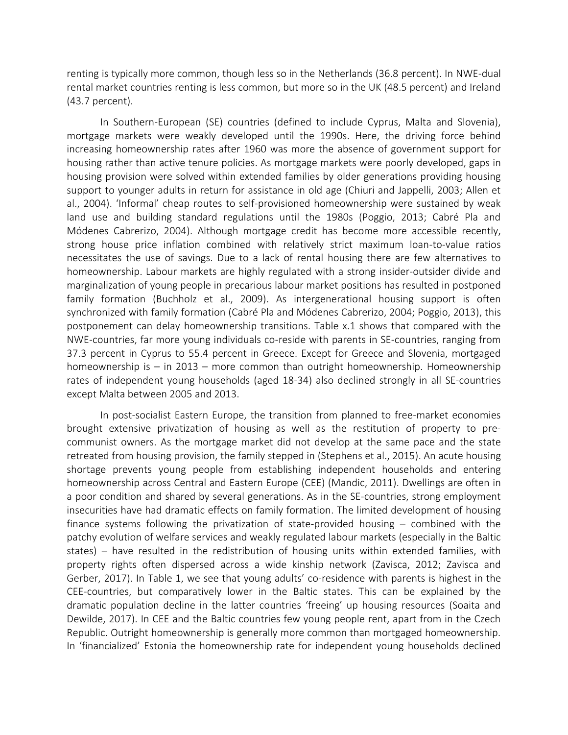renting is typically more common, though less so in the Netherlands (36.8 percent). In NWE-dual rental market countries renting is less common, but more so in the UK (48.5 percent) and Ireland (43.7 percent).

In Southern-European (SE) countries (defined to include Cyprus, Malta and Slovenia), mortgage markets were weakly developed until the 1990s. Here, the driving force behind increasing homeownership rates after 1960 was more the absence of government support for housing rather than active tenure policies. As mortgage markets were poorly developed, gaps in housing provision were solved within extended families by older generations providing housing support to younger adults in return for assistance in old age (Chiuri and Jappelli, 2003; Allen et al., 2004). 'Informal' cheap routes to self-provisioned homeownership were sustained by weak land use and building standard regulations until the 1980s (Poggio, 2013; Cabré Pla and Módenes Cabrerizo, 2004). Although mortgage credit has become more accessible recently, strong house price inflation combined with relatively strict maximum loan-to-value ratios necessitates the use of savings. Due to a lack of rental housing there are few alternatives to homeownership. Labour markets are highly regulated with a strong insider-outsider divide and marginalization of young people in precarious labour market positions has resulted in postponed family formation (Buchholz et al., 2009). As intergenerational housing support is often synchronized with family formation (Cabré Pla and Módenes Cabrerizo, 2004; Poggio, 2013), this postponement can delay homeownership transitions. Table x.1 shows that compared with the NWE-countries, far more young individuals co-reside with parents in SE-countries, ranging from 37.3 percent in Cyprus to 55.4 percent in Greece. Except for Greece and Slovenia, mortgaged homeownership is – in 2013 – more common than outright homeownership. Homeownership rates of independent young households (aged 18-34) also declined strongly in all SE-countries except Malta between 2005 and 2013.

In post-socialist Eastern Europe, the transition from planned to free-market economies brought extensive privatization of housing as well as the restitution of property to precommunist owners. As the mortgage market did not develop at the same pace and the state retreated from housing provision, the family stepped in (Stephens et al., 2015). An acute housing shortage prevents young people from establishing independent households and entering homeownership across Central and Eastern Europe (CEE) (Mandic, 2011). Dwellings are often in a poor condition and shared by several generations. As in the SE-countries, strong employment insecurities have had dramatic effects on family formation. The limited development of housing finance systems following the privatization of state-provided housing – combined with the patchy evolution of welfare services and weakly regulated labour markets (especially in the Baltic states) – have resulted in the redistribution of housing units within extended families, with property rights often dispersed across a wide kinship network (Zavisca, 2012; Zavisca and Gerber, 2017). In Table 1, we see that young adults' co-residence with parents is highest in the CEE-countries, but comparatively lower in the Baltic states. This can be explained by the dramatic population decline in the latter countries 'freeing' up housing resources (Soaita and Dewilde, 2017). In CEE and the Baltic countries few young people rent, apart from in the Czech Republic. Outright homeownership is generally more common than mortgaged homeownership. In 'financialized' Estonia the homeownership rate for independent young households declined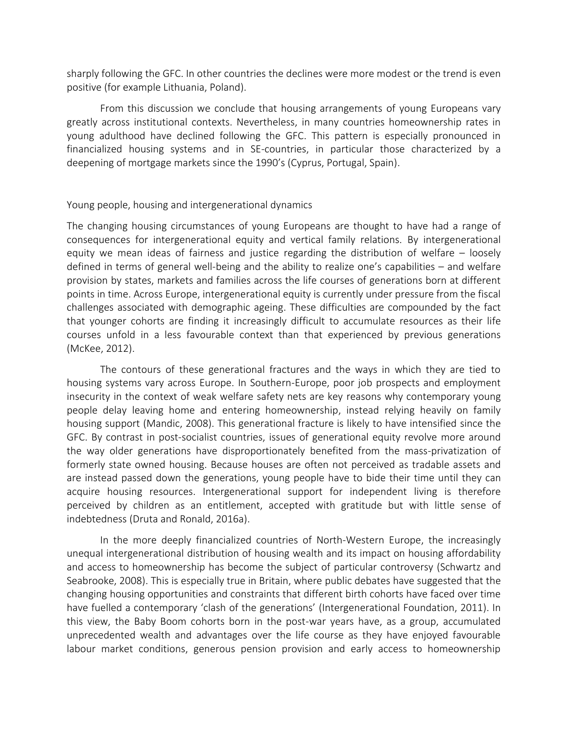sharply following the GFC. In other countries the declines were more modest or the trend is even positive (for example Lithuania, Poland).

From this discussion we conclude that housing arrangements of young Europeans vary greatly across institutional contexts. Nevertheless, in many countries homeownership rates in young adulthood have declined following the GFC. This pattern is especially pronounced in financialized housing systems and in SE-countries, in particular those characterized by a deepening of mortgage markets since the 1990's (Cyprus, Portugal, Spain).

#### Young people, housing and intergenerational dynamics

The changing housing circumstances of young Europeans are thought to have had a range of consequences for intergenerational equity and vertical family relations. By intergenerational equity we mean ideas of fairness and justice regarding the distribution of welfare – loosely defined in terms of general well-being and the ability to realize one's capabilities – and welfare provision by states, markets and families across the life courses of generations born at different points in time. Across Europe, intergenerational equity is currently under pressure from the fiscal challenges associated with demographic ageing. These difficulties are compounded by the fact that younger cohorts are finding it increasingly difficult to accumulate resources as their life courses unfold in a less favourable context than that experienced by previous generations (McKee, 2012).

The contours of these generational fractures and the ways in which they are tied to housing systems vary across Europe. In Southern-Europe, poor job prospects and employment insecurity in the context of weak welfare safety nets are key reasons why contemporary young people delay leaving home and entering homeownership, instead relying heavily on family housing support (Mandic, 2008). This generational fracture is likely to have intensified since the GFC. By contrast in post-socialist countries, issues of generational equity revolve more around the way older generations have disproportionately benefited from the mass-privatization of formerly state owned housing. Because houses are often not perceived as tradable assets and are instead passed down the generations, young people have to bide their time until they can acquire housing resources. Intergenerational support for independent living is therefore perceived by children as an entitlement, accepted with gratitude but with little sense of indebtedness (Druta and Ronald, 2016a).

In the more deeply financialized countries of North-Western Europe, the increasingly unequal intergenerational distribution of housing wealth and its impact on housing affordability and access to homeownership has become the subject of particular controversy (Schwartz and Seabrooke, 2008). This is especially true in Britain, where public debates have suggested that the changing housing opportunities and constraints that different birth cohorts have faced over time have fuelled a contemporary 'clash of the generations' (Intergenerational Foundation, 2011). In this view, the Baby Boom cohorts born in the post-war years have, as a group, accumulated unprecedented wealth and advantages over the life course as they have enjoyed favourable labour market conditions, generous pension provision and early access to homeownership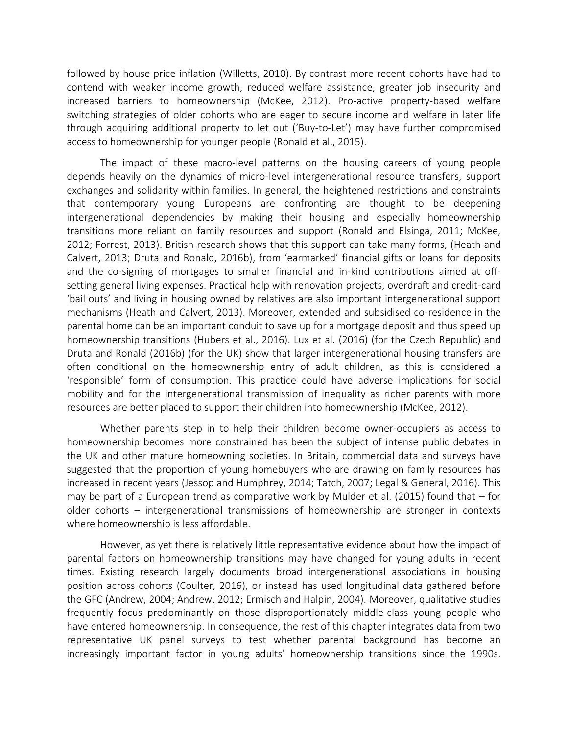followed by house price inflation (Willetts, 2010). By contrast more recent cohorts have had to contend with weaker income growth, reduced welfare assistance, greater job insecurity and increased barriers to homeownership (McKee, 2012). Pro-active property-based welfare switching strategies of older cohorts who are eager to secure income and welfare in later life through acquiring additional property to let out ('Buy-to-Let') may have further compromised access to homeownership for younger people (Ronald et al., 2015).

The impact of these macro-level patterns on the housing careers of young people depends heavily on the dynamics of micro-level intergenerational resource transfers, support exchanges and solidarity within families. In general, the heightened restrictions and constraints that contemporary young Europeans are confronting are thought to be deepening intergenerational dependencies by making their housing and especially homeownership transitions more reliant on family resources and support (Ronald and Elsinga, 2011; McKee, 2012; Forrest, 2013). British research shows that this support can take many forms, (Heath and Calvert, 2013; Druta and Ronald, 2016b), from 'earmarked' financial gifts or loans for deposits and the co-signing of mortgages to smaller financial and in-kind contributions aimed at offsetting general living expenses. Practical help with renovation projects, overdraft and credit-card 'bail outs' and living in housing owned by relatives are also important intergenerational support mechanisms (Heath and Calvert, 2013). Moreover, extended and subsidised co-residence in the parental home can be an important conduit to save up for a mortgage deposit and thus speed up homeownership transitions (Hubers et al., 2016). Lux et al. (2016) (for the Czech Republic) and Druta and Ronald (2016b) (for the UK) show that larger intergenerational housing transfers are often conditional on the homeownership entry of adult children, as this is considered a 'responsible' form of consumption. This practice could have adverse implications for social mobility and for the intergenerational transmission of inequality as richer parents with more resources are better placed to support their children into homeownership (McKee, 2012).

Whether parents step in to help their children become owner-occupiers as access to homeownership becomes more constrained has been the subject of intense public debates in the UK and other mature homeowning societies. In Britain, commercial data and surveys have suggested that the proportion of young homebuyers who are drawing on family resources has increased in recent years (Jessop and Humphrey, 2014; Tatch, 2007; Legal & General, 2016). This may be part of a European trend as comparative work by Mulder et al. (2015) found that – for older cohorts – intergenerational transmissions of homeownership are stronger in contexts where homeownership is less affordable.

However, as yet there is relatively little representative evidence about how the impact of parental factors on homeownership transitions may have changed for young adults in recent times. Existing research largely documents broad intergenerational associations in housing position across cohorts (Coulter, 2016), or instead has used longitudinal data gathered before the GFC (Andrew, 2004; Andrew, 2012; Ermisch and Halpin, 2004). Moreover, qualitative studies frequently focus predominantly on those disproportionately middle-class young people who have entered homeownership. In consequence, the rest of this chapter integrates data from two representative UK panel surveys to test whether parental background has become an increasingly important factor in young adults' homeownership transitions since the 1990s.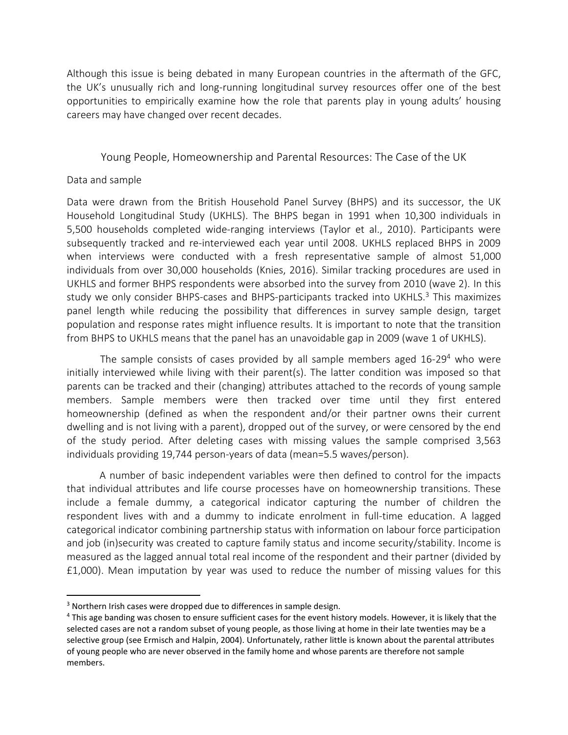Although this issue is being debated in many European countries in the aftermath of the GFC, the UK's unusually rich and long-running longitudinal survey resources offer one of the best opportunities to empirically examine how the role that parents play in young adults' housing careers may have changed over recent decades.

# Young People, Homeownership and Parental Resources: The Case of the UK

# Data and sample

l

Data were drawn from the British Household Panel Survey (BHPS) and its successor, the UK Household Longitudinal Study (UKHLS). The BHPS began in 1991 when 10,300 individuals in 5,500 households completed wide-ranging interviews (Taylor et al., 2010). Participants were subsequently tracked and re-interviewed each year until 2008. UKHLS replaced BHPS in 2009 when interviews were conducted with a fresh representative sample of almost 51,000 individuals from over 30,000 households (Knies, 2016). Similar tracking procedures are used in UKHLS and former BHPS respondents were absorbed into the survey from 2010 (wave 2). In this study we only consider BHPS-cases and BHPS-participants tracked into UKHLS.<sup>3</sup> This maximizes panel length while reducing the possibility that differences in survey sample design, target population and response rates might influence results. It is important to note that the transition from BHPS to UKHLS means that the panel has an unavoidable gap in 2009 (wave 1 of UKHLS).

The sample consists of cases provided by all sample members aged  $16-29<sup>4</sup>$  who were initially interviewed while living with their parent(s). The latter condition was imposed so that parents can be tracked and their (changing) attributes attached to the records of young sample members. Sample members were then tracked over time until they first entered homeownership (defined as when the respondent and/or their partner owns their current dwelling and is not living with a parent), dropped out of the survey, or were censored by the end of the study period. After deleting cases with missing values the sample comprised 3,563 individuals providing 19,744 person-years of data (mean=5.5 waves/person).

A number of basic independent variables were then defined to control for the impacts that individual attributes and life course processes have on homeownership transitions. These include a female dummy, a categorical indicator capturing the number of children the respondent lives with and a dummy to indicate enrolment in full-time education. A lagged categorical indicator combining partnership status with information on labour force participation and job (in)security was created to capture family status and income security/stability. Income is measured as the lagged annual total real income of the respondent and their partner (divided by £1,000). Mean imputation by year was used to reduce the number of missing values for this

<sup>&</sup>lt;sup>3</sup> Northern Irish cases were dropped due to differences in sample design.

<sup>&</sup>lt;sup>4</sup> This age banding was chosen to ensure sufficient cases for the event history models. However, it is likely that the selected cases are not a random subset of young people, as those living at home in their late twenties may be a selective group (see Ermisch and Halpin, 2004). Unfortunately, rather little is known about the parental attributes of young people who are never observed in the family home and whose parents are therefore not sample members.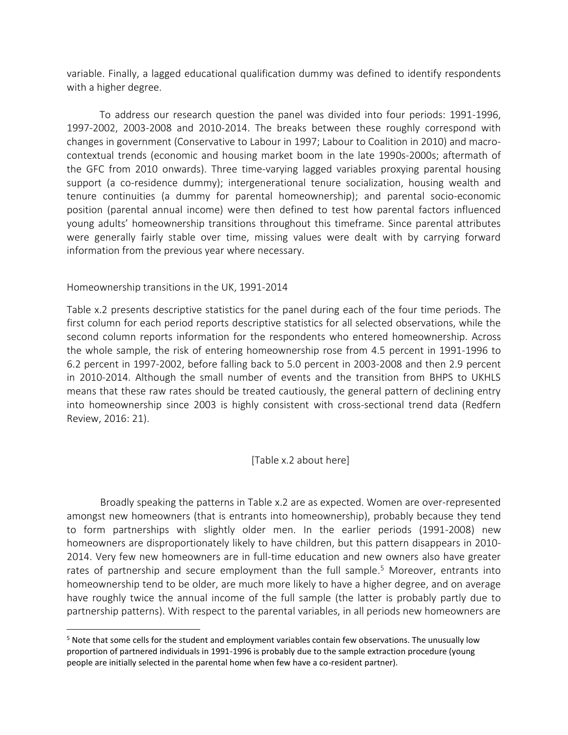variable. Finally, a lagged educational qualification dummy was defined to identify respondents with a higher degree.

To address our research question the panel was divided into four periods: 1991-1996, 1997-2002, 2003-2008 and 2010-2014. The breaks between these roughly correspond with changes in government (Conservative to Labour in 1997; Labour to Coalition in 2010) and macrocontextual trends (economic and housing market boom in the late 1990s-2000s; aftermath of the GFC from 2010 onwards). Three time-varying lagged variables proxying parental housing support (a co-residence dummy); intergenerational tenure socialization, housing wealth and tenure continuities (a dummy for parental homeownership); and parental socio-economic position (parental annual income) were then defined to test how parental factors influenced young adults' homeownership transitions throughout this timeframe. Since parental attributes were generally fairly stable over time, missing values were dealt with by carrying forward information from the previous year where necessary.

## Homeownership transitions in the UK, 1991-2014

 $\overline{a}$ 

Table x.2 presents descriptive statistics for the panel during each of the four time periods. The first column for each period reports descriptive statistics for all selected observations, while the second column reports information for the respondents who entered homeownership. Across the whole sample, the risk of entering homeownership rose from 4.5 percent in 1991-1996 to 6.2 percent in 1997-2002, before falling back to 5.0 percent in 2003-2008 and then 2.9 percent in 2010-2014. Although the small number of events and the transition from BHPS to UKHLS means that these raw rates should be treated cautiously, the general pattern of declining entry into homeownership since 2003 is highly consistent with cross-sectional trend data (Redfern Review, 2016: 21).

# [Table x.2 about here]

Broadly speaking the patterns in Table x.2 are as expected. Women are over-represented amongst new homeowners (that is entrants into homeownership), probably because they tend to form partnerships with slightly older men. In the earlier periods (1991-2008) new homeowners are disproportionately likely to have children, but this pattern disappears in 2010- 2014. Very few new homeowners are in full-time education and new owners also have greater rates of partnership and secure employment than the full sample.<sup>5</sup> Moreover, entrants into homeownership tend to be older, are much more likely to have a higher degree, and on average have roughly twice the annual income of the full sample (the latter is probably partly due to partnership patterns). With respect to the parental variables, in all periods new homeowners are

<sup>&</sup>lt;sup>5</sup> Note that some cells for the student and employment variables contain few observations. The unusually low proportion of partnered individuals in 1991-1996 is probably due to the sample extraction procedure (young people are initially selected in the parental home when few have a co-resident partner).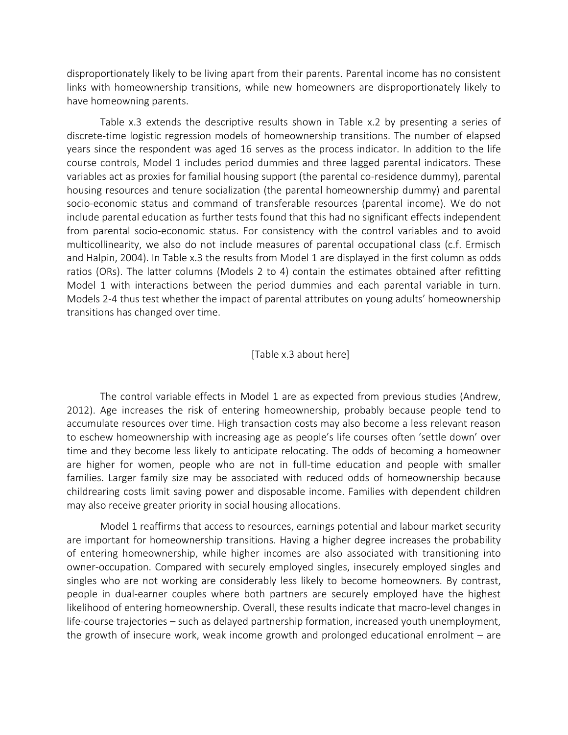disproportionately likely to be living apart from their parents. Parental income has no consistent links with homeownership transitions, while new homeowners are disproportionately likely to have homeowning parents.

Table x.3 extends the descriptive results shown in Table x.2 by presenting a series of discrete-time logistic regression models of homeownership transitions. The number of elapsed years since the respondent was aged 16 serves as the process indicator. In addition to the life course controls, Model 1 includes period dummies and three lagged parental indicators. These variables act as proxies for familial housing support (the parental co-residence dummy), parental housing resources and tenure socialization (the parental homeownership dummy) and parental socio-economic status and command of transferable resources (parental income). We do not include parental education as further tests found that this had no significant effects independent from parental socio-economic status. For consistency with the control variables and to avoid multicollinearity, we also do not include measures of parental occupational class (c.f. Ermisch and Halpin, 2004). In Table x.3 the results from Model 1 are displayed in the first column as odds ratios (ORs). The latter columns (Models 2 to 4) contain the estimates obtained after refitting Model 1 with interactions between the period dummies and each parental variable in turn. Models 2-4 thus test whether the impact of parental attributes on young adults' homeownership transitions has changed over time.

#### [Table x.3 about here]

The control variable effects in Model 1 are as expected from previous studies (Andrew, 2012). Age increases the risk of entering homeownership, probably because people tend to accumulate resources over time. High transaction costs may also become a less relevant reason to eschew homeownership with increasing age as people's life courses often 'settle down' over time and they become less likely to anticipate relocating. The odds of becoming a homeowner are higher for women, people who are not in full-time education and people with smaller families. Larger family size may be associated with reduced odds of homeownership because childrearing costs limit saving power and disposable income. Families with dependent children may also receive greater priority in social housing allocations.

Model 1 reaffirms that access to resources, earnings potential and labour market security are important for homeownership transitions. Having a higher degree increases the probability of entering homeownership, while higher incomes are also associated with transitioning into owner-occupation. Compared with securely employed singles, insecurely employed singles and singles who are not working are considerably less likely to become homeowners. By contrast, people in dual-earner couples where both partners are securely employed have the highest likelihood of entering homeownership. Overall, these results indicate that macro-level changes in life-course trajectories – such as delayed partnership formation, increased youth unemployment, the growth of insecure work, weak income growth and prolonged educational enrolment – are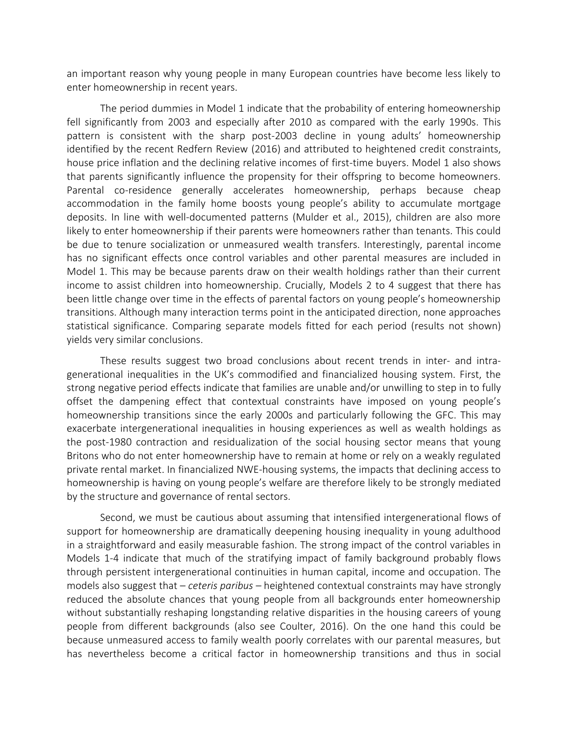an important reason why young people in many European countries have become less likely to enter homeownership in recent years.

The period dummies in Model 1 indicate that the probability of entering homeownership fell significantly from 2003 and especially after 2010 as compared with the early 1990s. This pattern is consistent with the sharp post-2003 decline in young adults' homeownership identified by the recent Redfern Review (2016) and attributed to heightened credit constraints, house price inflation and the declining relative incomes of first-time buyers. Model 1 also shows that parents significantly influence the propensity for their offspring to become homeowners. Parental co-residence generally accelerates homeownership, perhaps because cheap accommodation in the family home boosts young people's ability to accumulate mortgage deposits. In line with well-documented patterns (Mulder et al., 2015), children are also more likely to enter homeownership if their parents were homeowners rather than tenants. This could be due to tenure socialization or unmeasured wealth transfers. Interestingly, parental income has no significant effects once control variables and other parental measures are included in Model 1. This may be because parents draw on their wealth holdings rather than their current income to assist children into homeownership. Crucially, Models 2 to 4 suggest that there has been little change over time in the effects of parental factors on young people's homeownership transitions. Although many interaction terms point in the anticipated direction, none approaches statistical significance. Comparing separate models fitted for each period (results not shown) yields very similar conclusions.

These results suggest two broad conclusions about recent trends in inter- and intragenerational inequalities in the UK's commodified and financialized housing system. First, the strong negative period effects indicate that families are unable and/or unwilling to step in to fully offset the dampening effect that contextual constraints have imposed on young people's homeownership transitions since the early 2000s and particularly following the GFC. This may exacerbate intergenerational inequalities in housing experiences as well as wealth holdings as the post-1980 contraction and residualization of the social housing sector means that young Britons who do not enter homeownership have to remain at home or rely on a weakly regulated private rental market. In financialized NWE-housing systems, the impacts that declining access to homeownership is having on young people's welfare are therefore likely to be strongly mediated by the structure and governance of rental sectors.

Second, we must be cautious about assuming that intensified intergenerational flows of support for homeownership are dramatically deepening housing inequality in young adulthood in a straightforward and easily measurable fashion. The strong impact of the control variables in Models 1-4 indicate that much of the stratifying impact of family background probably flows through persistent intergenerational continuities in human capital, income and occupation. The models also suggest that – *ceteris paribus –* heightened contextual constraints may have strongly reduced the absolute chances that young people from all backgrounds enter homeownership without substantially reshaping longstanding relative disparities in the housing careers of young people from different backgrounds (also see Coulter, 2016). On the one hand this could be because unmeasured access to family wealth poorly correlates with our parental measures, but has nevertheless become a critical factor in homeownership transitions and thus in social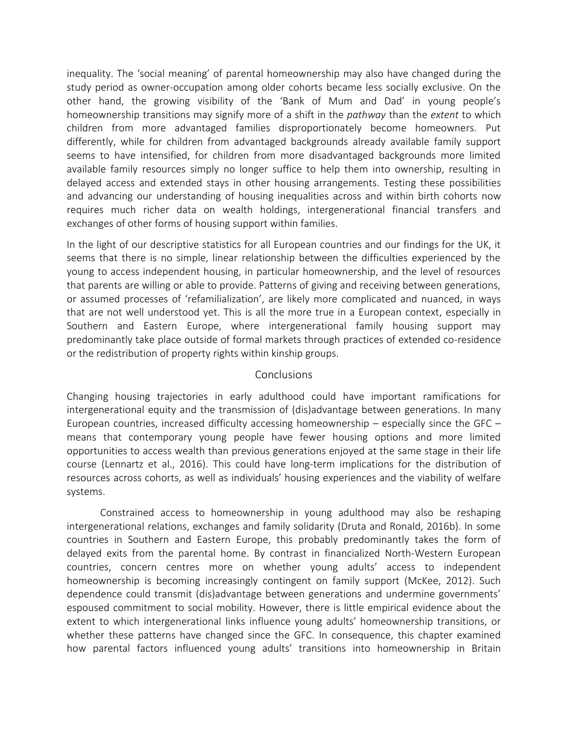inequality. The 'social meaning' of parental homeownership may also have changed during the study period as owner-occupation among older cohorts became less socially exclusive. On the other hand, the growing visibility of the 'Bank of Mum and Dad' in young people's homeownership transitions may signify more of a shift in the *pathway* than the *extent* to which children from more advantaged families disproportionately become homeowners. Put differently, while for children from advantaged backgrounds already available family support seems to have intensified, for children from more disadvantaged backgrounds more limited available family resources simply no longer suffice to help them into ownership, resulting in delayed access and extended stays in other housing arrangements. Testing these possibilities and advancing our understanding of housing inequalities across and within birth cohorts now requires much richer data on wealth holdings, intergenerational financial transfers and exchanges of other forms of housing support within families.

In the light of our descriptive statistics for all European countries and our findings for the UK, it seems that there is no simple, linear relationship between the difficulties experienced by the young to access independent housing, in particular homeownership, and the level of resources that parents are willing or able to provide. Patterns of giving and receiving between generations, or assumed processes of 'refamilialization', are likely more complicated and nuanced, in ways that are not well understood yet. This is all the more true in a European context, especially in Southern and Eastern Europe, where intergenerational family housing support may predominantly take place outside of formal markets through practices of extended co-residence or the redistribution of property rights within kinship groups.

# **Conclusions**

Changing housing trajectories in early adulthood could have important ramifications for intergenerational equity and the transmission of (dis)advantage between generations. In many European countries, increased difficulty accessing homeownership – especially since the GFC – means that contemporary young people have fewer housing options and more limited opportunities to access wealth than previous generations enjoyed at the same stage in their life course (Lennartz et al., 2016). This could have long-term implications for the distribution of resources across cohorts, as well as individuals' housing experiences and the viability of welfare systems.

Constrained access to homeownership in young adulthood may also be reshaping intergenerational relations, exchanges and family solidarity (Druta and Ronald, 2016b). In some countries in Southern and Eastern Europe, this probably predominantly takes the form of delayed exits from the parental home. By contrast in financialized North-Western European countries, concern centres more on whether young adults' access to independent homeownership is becoming increasingly contingent on family support (McKee, 2012). Such dependence could transmit (dis)advantage between generations and undermine governments' espoused commitment to social mobility. However, there is little empirical evidence about the extent to which intergenerational links influence young adults' homeownership transitions, or whether these patterns have changed since the GFC. In consequence, this chapter examined how parental factors influenced young adults' transitions into homeownership in Britain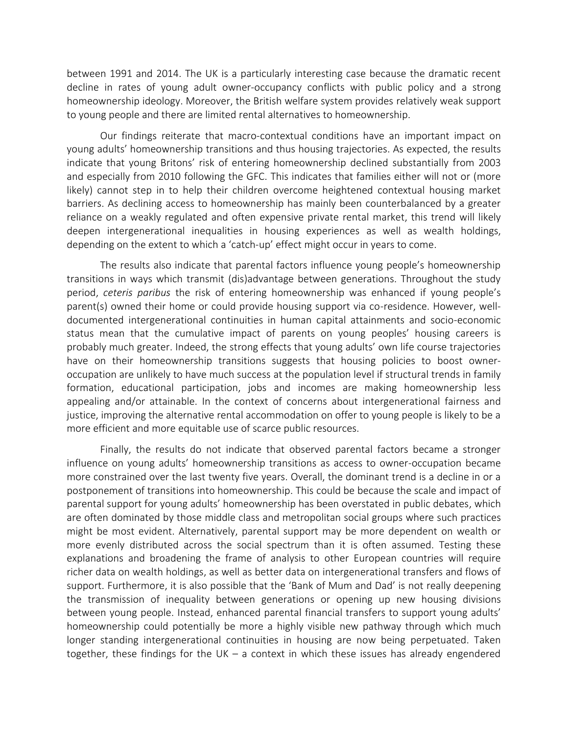between 1991 and 2014. The UK is a particularly interesting case because the dramatic recent decline in rates of young adult owner-occupancy conflicts with public policy and a strong homeownership ideology. Moreover, the British welfare system provides relatively weak support to young people and there are limited rental alternatives to homeownership.

Our findings reiterate that macro-contextual conditions have an important impact on young adults' homeownership transitions and thus housing trajectories. As expected, the results indicate that young Britons' risk of entering homeownership declined substantially from 2003 and especially from 2010 following the GFC. This indicates that families either will not or (more likely) cannot step in to help their children overcome heightened contextual housing market barriers. As declining access to homeownership has mainly been counterbalanced by a greater reliance on a weakly regulated and often expensive private rental market, this trend will likely deepen intergenerational inequalities in housing experiences as well as wealth holdings, depending on the extent to which a 'catch-up' effect might occur in years to come.

The results also indicate that parental factors influence young people's homeownership transitions in ways which transmit (dis)advantage between generations. Throughout the study period, *ceteris paribus* the risk of entering homeownership was enhanced if young people's parent(s) owned their home or could provide housing support via co-residence. However, welldocumented intergenerational continuities in human capital attainments and socio-economic status mean that the cumulative impact of parents on young peoples' housing careers is probably much greater. Indeed, the strong effects that young adults' own life course trajectories have on their homeownership transitions suggests that housing policies to boost owneroccupation are unlikely to have much success at the population level if structural trends in family formation, educational participation, jobs and incomes are making homeownership less appealing and/or attainable. In the context of concerns about intergenerational fairness and justice, improving the alternative rental accommodation on offer to young people is likely to be a more efficient and more equitable use of scarce public resources.

Finally, the results do not indicate that observed parental factors became a stronger influence on young adults' homeownership transitions as access to owner-occupation became more constrained over the last twenty five years. Overall, the dominant trend is a decline in or a postponement of transitions into homeownership. This could be because the scale and impact of parental support for young adults' homeownership has been overstated in public debates, which are often dominated by those middle class and metropolitan social groups where such practices might be most evident. Alternatively, parental support may be more dependent on wealth or more evenly distributed across the social spectrum than it is often assumed. Testing these explanations and broadening the frame of analysis to other European countries will require richer data on wealth holdings, as well as better data on intergenerational transfers and flows of support. Furthermore, it is also possible that the 'Bank of Mum and Dad' is not really deepening the transmission of inequality between generations or opening up new housing divisions between young people. Instead, enhanced parental financial transfers to support young adults' homeownership could potentially be more a highly visible new pathway through which much longer standing intergenerational continuities in housing are now being perpetuated. Taken together, these findings for the UK – a context in which these issues has already engendered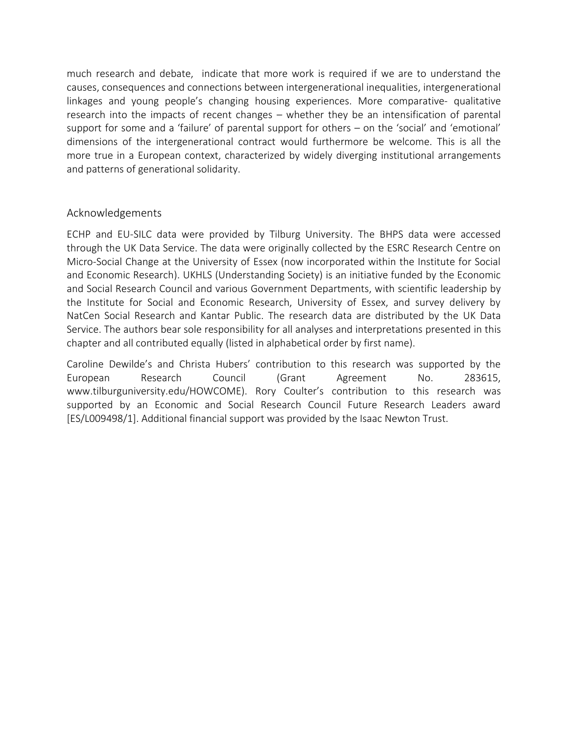much research and debate, indicate that more work is required if we are to understand the causes, consequences and connections between intergenerational inequalities, intergenerational linkages and young people's changing housing experiences. More comparative- qualitative research into the impacts of recent changes – whether they be an intensification of parental support for some and a 'failure' of parental support for others – on the 'social' and 'emotional' dimensions of the intergenerational contract would furthermore be welcome. This is all the more true in a European context, characterized by widely diverging institutional arrangements and patterns of generational solidarity.

# Acknowledgements

ECHP and EU-SILC data were provided by Tilburg University. The BHPS data were accessed through the UK Data Service. The data were originally collected by the ESRC Research Centre on Micro-Social Change at the University of Essex (now incorporated within the Institute for Social and Economic Research). UKHLS (Understanding Society) is an initiative funded by the Economic and Social Research Council and various Government Departments, with scientific leadership by the Institute for Social and Economic Research, University of Essex, and survey delivery by NatCen Social Research and Kantar Public. The research data are distributed by the UK Data Service. The authors bear sole responsibility for all analyses and interpretations presented in this chapter and all contributed equally (listed in alphabetical order by first name).

Caroline Dewilde's and Christa Hubers' contribution to this research was supported by the European Research Council (Grant Agreement No. 283615, www.tilburguniversity.edu/HOWCOME). Rory Coulter's contribution to this research was supported by an Economic and Social Research Council Future Research Leaders award [ES/L009498/1]. Additional financial support was provided by the Isaac Newton Trust.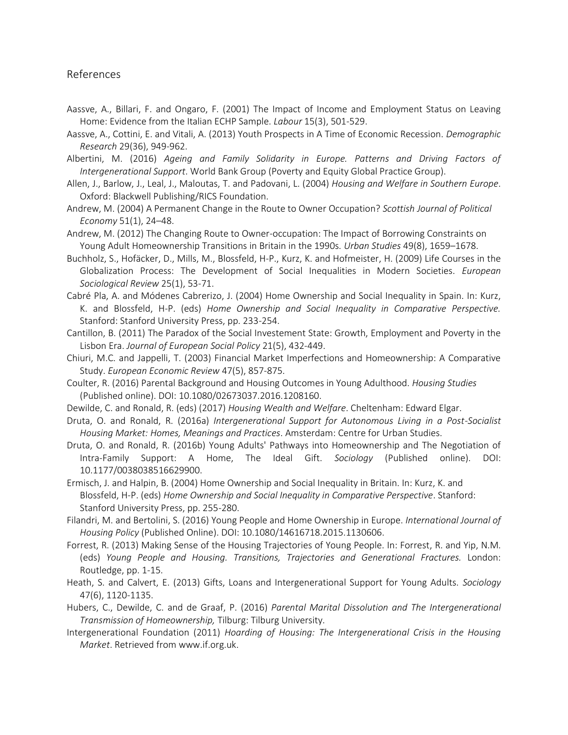## References

- Aassve, A., Billari, F. and Ongaro, F. (2001) The Impact of Income and Employment Status on Leaving Home: Evidence from the Italian ECHP Sample. *Labour* 15(3), 501-529.
- Aassve, A., Cottini, E. and Vitali, A. (2013) Youth Prospects in A Time of Economic Recession. *Demographic Research* 29(36), 949-962.
- Albertini, M. (2016) *Ageing and Family Solidarity in Europe. Patterns and Driving Factors of Intergenerational Support*. World Bank Group (Poverty and Equity Global Practice Group).
- Allen, J., Barlow, J., Leal, J., Maloutas, T. and Padovani, L. (2004) *Housing and Welfare in Southern Europe*. Oxford: Blackwell Publishing/RICS Foundation.
- Andrew, M. (2004) A Permanent Change in the Route to Owner Occupation? *Scottish Journal of Political Economy* 51(1), 24–48.
- Andrew, M. (2012) The Changing Route to Owner-occupation: The Impact of Borrowing Constraints on Young Adult Homeownership Transitions in Britain in the 1990s. *Urban Studies* 49(8), 1659–1678.
- Buchholz, S., Hofäcker, D., Mills, M., Blossfeld, H-P., Kurz, K. and Hofmeister, H. (2009) Life Courses in the Globalization Process: The Development of Social Inequalities in Modern Societies. *European Sociological Review* 25(1), 53-71.
- Cabré Pla, A. and Módenes Cabrerizo, J. (2004) Home Ownership and Social Inequality in Spain. In: Kurz, K. and Blossfeld, H-P. (eds) *Home Ownership and Social Inequality in Comparative Perspective.* Stanford: Stanford University Press, pp. 233-254.
- Cantillon, B. (2011) The Paradox of the Social Investement State: Growth, Employment and Poverty in the Lisbon Era. *Journal of European Social Policy* 21(5), 432-449.
- Chiuri, M.C. and Jappelli, T. (2003) Financial Market Imperfections and Homeownership: A Comparative Study. *European Economic Review* 47(5), 857-875.
- Coulter, R. (2016) Parental Background and Housing Outcomes in Young Adulthood. *Housing Studies* (Published online). DOI: 10.1080/02673037.2016.1208160.
- Dewilde, C. and Ronald, R. (eds) (2017) *Housing Wealth and Welfare*. Cheltenham: Edward Elgar.
- Druta, O. and Ronald, R. (2016a) *Intergenerational Support for Autonomous Living in a Post-Socialist Housing Market: Homes, Meanings and Practices*. Amsterdam: Centre for Urban Studies.
- Druta, O. and Ronald, R. (2016b) Young Adults' Pathways into Homeownership and The Negotiation of Intra-Family Support: A Home, The Ideal Gift. *Sociology* (Published online). DOI: 10.1177/0038038516629900.
- Ermisch, J. and Halpin, B. (2004) Home Ownership and Social Inequality in Britain. In: Kurz, K. and Blossfeld, H-P. (eds) *Home Ownership and Social Inequality in Comparative Perspective*. Stanford: Stanford University Press, pp. 255-280.
- Filandri, M. and Bertolini, S. (2016) Young People and Home Ownership in Europe. *International Journal of Housing Policy* (Published Online). DOI: 10.1080/14616718.2015.1130606.
- Forrest, R. (2013) Making Sense of the Housing Trajectories of Young People. In: Forrest, R. and Yip, N.M. (eds) *Young People and Housing. Transitions, Trajectories and Generational Fractures.* London: Routledge, pp. 1-15.
- Heath, S. and Calvert, E. (2013) Gifts, Loans and Intergenerational Support for Young Adults. *Sociology* 47(6), 1120-1135.
- Hubers, C., Dewilde, C. and de Graaf, P. (2016) *Parental Marital Dissolution and The Intergenerational Transmission of Homeownership,* Tilburg: Tilburg University.
- Intergenerational Foundation (2011) *Hoarding of Housing: The Intergenerational Crisis in the Housing Market*. Retrieved from [www.if.org.uk.](http://www.if.org.uk/)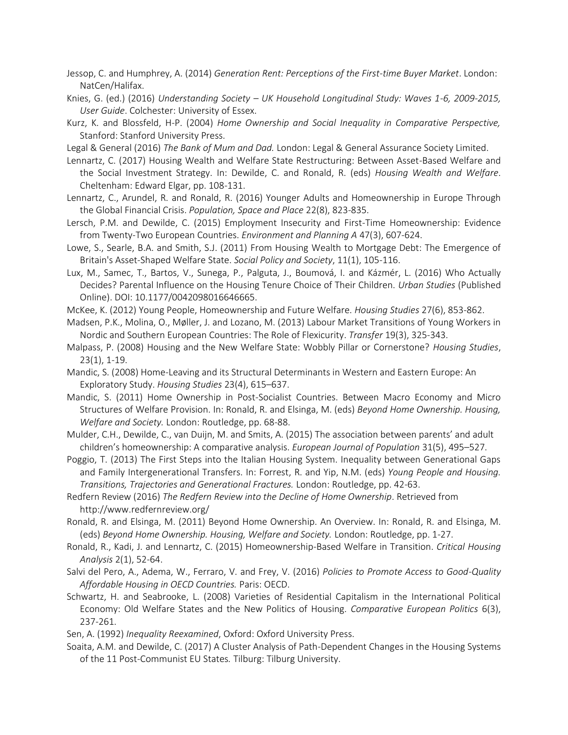- Jessop, C. and Humphrey, A. (2014) *Generation Rent: Perceptions of the First-time Buyer Market*. London: NatCen/Halifax.
- Knies, G. (ed.) (2016) *Understanding Society – UK Household Longitudinal Study: Waves 1-6, 2009-2015, User Guide*. Colchester: University of Essex.
- Kurz, K. and Blossfeld, H-P. (2004) *Home Ownership and Social Inequality in Comparative Perspective,*  Stanford: Stanford University Press.

Legal & General (2016) *The Bank of Mum and Dad.* London: Legal & General Assurance Society Limited.

- Lennartz, C. (2017) Housing Wealth and Welfare State Restructuring: Between Asset-Based Welfare and the Social Investment Strategy. In: Dewilde, C. and Ronald, R. (eds) *Housing Wealth and Welfare*. Cheltenham: Edward Elgar, pp. 108-131.
- Lennartz, C., Arundel, R. and Ronald, R. (2016) Younger Adults and Homeownership in Europe Through the Global Financial Crisis. *Population, Space and Place* 22(8), 823-835.
- Lersch, P.M. and Dewilde, C. (2015) Employment Insecurity and First-Time Homeownership: Evidence from Twenty-Two European Countries. *Environment and Planning A* 47(3), 607-624.
- Lowe, S., Searle, B.A. and Smith, S.J. (2011) From Housing Wealth to Mortgage Debt: The Emergence of Britain's Asset-Shaped Welfare State. *Social Policy and Society*, 11(1), 105-116.
- Lux, M., Samec, T., Bartos, V., Sunega, P., Palguta, J., Boumová, I. and Kázmér, L. (2016) Who Actually Decides? Parental Influence on the Housing Tenure Choice of Their Children. *Urban Studies* (Published Online). DOI: 10.1177/0042098016646665.

McKee, K. (2012) Young People, Homeownership and Future Welfare. *Housing Studies* 27(6), 853-862.

- Madsen, P.K., Molina, O., Møller, J. and Lozano, M. (2013) Labour Market Transitions of Young Workers in Nordic and Southern European Countries: The Role of Flexicurity. *Transfer* 19(3), 325-343.
- Malpass, P. (2008) Housing and the New Welfare State: Wobbly Pillar or Cornerstone? *Housing Studies*, 23(1), 1-19.
- Mandic, S. (2008) Home-Leaving and its Structural Determinants in Western and Eastern Europe: An Exploratory Study. *Housing Studies* 23(4), 615–637.
- Mandic, S. (2011) Home Ownership in Post-Socialist Countries. Between Macro Economy and Micro Structures of Welfare Provision. In: Ronald, R. and Elsinga, M. (eds) *Beyond Home Ownership. Housing, Welfare and Society.* London: Routledge, pp. 68-88.
- Mulder, C.H., Dewilde, C., van Duijn, M. and Smits, A. (2015) The association between parents' and adult children's homeownership: A comparative analysis. *European Journal of Population* 31(5), 495–527.
- Poggio, T. (2013) The First Steps into the Italian Housing System. Inequality between Generational Gaps and Family Intergenerational Transfers. In: Forrest, R. and Yip, N.M. (eds) *Young People and Housing. Transitions, Trajectories and Generational Fractures.* London: Routledge, pp. 42-63.
- Redfern Review (2016) *The Redfern Review into the Decline of Home Ownership*. Retrieved from http://www.redfernreview.org/
- Ronald, R. and Elsinga, M. (2011) Beyond Home Ownership. An Overview. In: Ronald, R. and Elsinga, M. (eds) *Beyond Home Ownership. Housing, Welfare and Society.* London: Routledge, pp. 1-27.
- Ronald, R., Kadi, J. and Lennartz, C. (2015) Homeownership-Based Welfare in Transition. *Critical Housing Analysis* 2(1), 52-64.
- Salvi del Pero, A., Adema, W., Ferraro, V. and Frey, V. (2016) *Policies to Promote Access to Good-Quality Affordable Housing in OECD Countries.* Paris: OECD.
- Schwartz, H. and Seabrooke, L. (2008) Varieties of Residential Capitalism in the International Political Economy: Old Welfare States and the New Politics of Housing. *Comparative European Politics* 6(3), 237-261.
- Sen, A. (1992) *Inequality Reexamined*, Oxford: Oxford University Press.
- Soaita, A.M. and Dewilde, C. (2017) A Cluster Analysis of Path-Dependent Changes in the Housing Systems of the 11 Post-Communist EU States*.* Tilburg: Tilburg University.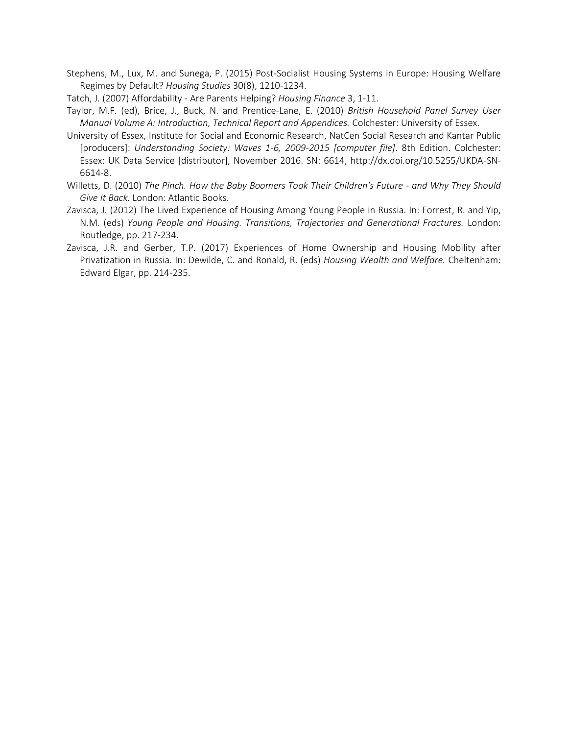Stephens, M., Lux, M. and Sunega, P. (2015) Post-Socialist Housing Systems in Europe: Housing Welfare Regimes by Default? *Housing Studies* 30(8), 1210-1234.

Tatch, J. (2007) Affordability - Are Parents Helping? *Housing Finance* 3, 1-11.

- Taylor, M.F. (ed), Brice, J., Buck, N. and Prentice-Lane, E. (2010) *British Household Panel Survey User Manual Volume A: Introduction, Technical Report and Appendices.* Colchester: University of Essex.
- University of Essex, Institute for Social and Economic Research, NatCen Social Research and Kantar Public [producers]: *Understanding Society: Waves 1-6, 2009-2015 [computer file]*. 8th Edition. Colchester: Essex: UK Data Service [distributor], November 2016. SN: 6614, http://dx.doi.org/10.5255/UKDA-SN-6614-8.
- Willetts, D. (2010) *The Pinch. How the Baby Boomers Took Their Children's Future - and Why They Should Give It Back.* London: Atlantic Books.
- Zavisca, J. (2012) The Lived Experience of Housing Among Young People in Russia. In: Forrest, R. and Yip, N.M. (eds) *Young People and Housing. Transitions, Trajectories and Generational Fractures.* London: Routledge, pp. 217-234.
- Zavisca, J.R. and Gerber, T.P. (2017) Experiences of Home Ownership and Housing Mobility after Privatization in Russia. In: Dewilde, C. and Ronald, R. (eds) *Housing Wealth and Welfare.* Cheltenham: Edward Elgar, pp. 214-235.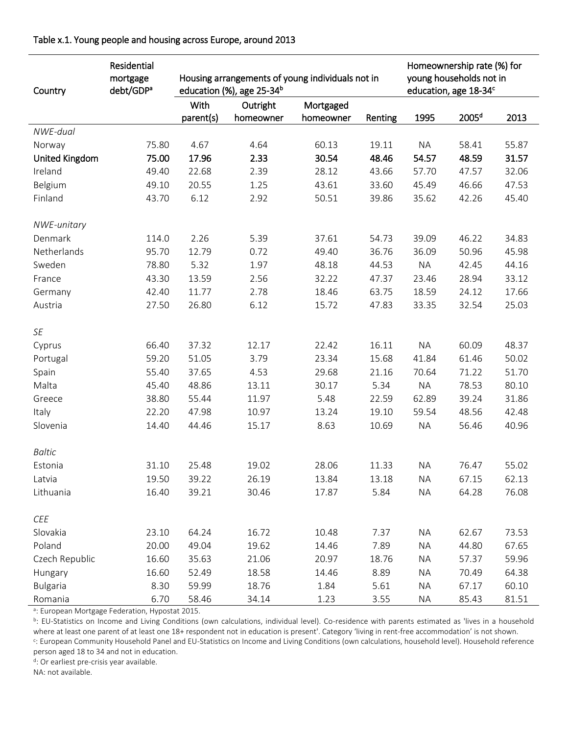| Country               | Residential<br>mortgage<br>debt/GDP <sup>a</sup> |                   | Housing arrangements of young individuals not in<br>education $(\%)$ , age 25-34 $^{\rm b}$ | Homeownership rate (%) for<br>young households not in<br>education, age 18-34c |         |           |                   |       |
|-----------------------|--------------------------------------------------|-------------------|---------------------------------------------------------------------------------------------|--------------------------------------------------------------------------------|---------|-----------|-------------------|-------|
|                       |                                                  | With<br>parent(s) | Outright<br>homeowner                                                                       | Mortgaged<br>homeowner                                                         | Renting | 1995      | 2005 <sup>d</sup> | 2013  |
| NWE-dual              |                                                  |                   |                                                                                             |                                                                                |         |           |                   |       |
| Norway                | 75.80                                            | 4.67              | 4.64                                                                                        | 60.13                                                                          | 19.11   | <b>NA</b> | 58.41             | 55.87 |
| <b>United Kingdom</b> | 75.00                                            | 17.96             | 2.33                                                                                        | 30.54                                                                          | 48.46   | 54.57     | 48.59             | 31.57 |
| Ireland               | 49.40                                            | 22.68             | 2.39                                                                                        | 28.12                                                                          | 43.66   | 57.70     | 47.57             | 32.06 |
| Belgium               | 49.10                                            | 20.55             | 1.25                                                                                        | 43.61                                                                          | 33.60   |           | 46.66             | 47.53 |
| Finland               | 43.70                                            | 6.12              | 2.92                                                                                        | 50.51                                                                          | 39.86   | 35.62     | 42.26             | 45.40 |
| NWE-unitary           |                                                  |                   |                                                                                             |                                                                                |         |           |                   |       |
| Denmark               | 114.0                                            | 2.26              | 5.39                                                                                        | 37.61                                                                          | 54.73   | 39.09     | 46.22             | 34.83 |
| Netherlands           | 95.70                                            | 12.79             | 0.72                                                                                        | 49.40                                                                          | 36.76   | 36.09     | 50.96             | 45.98 |
| Sweden                | 78.80                                            | 5.32              | 1.97                                                                                        | 48.18                                                                          | 44.53   | <b>NA</b> | 42.45             | 44.16 |
| France                | 43.30                                            | 13.59             | 2.56                                                                                        | 32.22                                                                          | 47.37   | 23.46     | 28.94             | 33.12 |
| Germany               | 42.40                                            | 11.77             | 2.78                                                                                        | 18.46                                                                          | 63.75   | 18.59     | 24.12             | 17.66 |
| Austria               | 27.50                                            | 26.80             | 6.12                                                                                        | 15.72                                                                          | 47.83   |           | 32.54             | 25.03 |
| SE                    |                                                  |                   |                                                                                             |                                                                                |         |           |                   |       |
| Cyprus                | 66.40                                            | 37.32             | 12.17                                                                                       | 22.42                                                                          | 16.11   | <b>NA</b> | 60.09             | 48.37 |
| Portugal              | 59.20                                            | 51.05             | 3.79                                                                                        | 23.34                                                                          | 15.68   | 41.84     | 61.46             | 50.02 |
| Spain                 | 55.40                                            | 37.65             | 4.53                                                                                        | 29.68                                                                          | 21.16   | 70.64     | 71.22             | 51.70 |
| Malta                 | 45.40                                            | 48.86             | 13.11                                                                                       | 30.17                                                                          | 5.34    | <b>NA</b> | 78.53             | 80.10 |
| Greece                | 38.80                                            | 55.44             | 11.97                                                                                       | 5.48                                                                           | 22.59   | 62.89     | 39.24             | 31.86 |
| Italy                 | 22.20                                            | 47.98             | 10.97                                                                                       | 13.24                                                                          | 19.10   | 59.54     | 48.56             | 42.48 |
| Slovenia              | 14.40                                            | 44.46             | 15.17                                                                                       | 8.63                                                                           | 10.69   | <b>NA</b> | 56.46             | 40.96 |
| <b>Baltic</b>         |                                                  |                   |                                                                                             |                                                                                |         |           |                   |       |
| Estonia               | 31.10                                            | 25.48             | 19.02                                                                                       | 28.06                                                                          | 11.33   | <b>NA</b> | 76.47             | 55.02 |
| Latvia                | 19.50                                            | 39.22             | 26.19                                                                                       | 13.84                                                                          | 13.18   | <b>NA</b> | 67.15             | 62.13 |
| Lithuania             | 16.40                                            | 39.21             | 30.46                                                                                       | 17.87                                                                          | 5.84    | <b>NA</b> | 64.28             | 76.08 |
| <b>CEE</b>            |                                                  |                   |                                                                                             |                                                                                |         |           |                   |       |
| Slovakia              | 23.10                                            | 64.24             | 16.72                                                                                       | 10.48                                                                          | 7.37    | <b>NA</b> | 62.67             | 73.53 |
| Poland                | 20.00                                            | 49.04             | 19.62                                                                                       | 14.46                                                                          | 7.89    | <b>NA</b> | 44.80             | 67.65 |
| Czech Republic        | 16.60                                            | 35.63             | 21.06                                                                                       | 20.97                                                                          | 18.76   | <b>NA</b> | 57.37             | 59.96 |
| Hungary               | 16.60                                            | 52.49             | 18.58                                                                                       | 14.46                                                                          | 8.89    | <b>NA</b> | 70.49             | 64.38 |
| <b>Bulgaria</b>       | 8.30                                             | 59.99             | 18.76                                                                                       | 1.84                                                                           | 5.61    | <b>NA</b> | 67.17             | 60.10 |
| Romania               | 6.70                                             | 58.46             | 34.14                                                                                       | 1.23<br>3.55                                                                   |         | <b>NA</b> | 85.43             | 81.51 |

#### Table x.1. Young people and housing across Europe, around 2013

a: European Mortgage Federation, Hypostat 2015.

b : EU-Statistics on Income and Living Conditions (own calculations, individual level). Co-residence with parents estimated as 'lives in a household where at least one parent of at least one 18+ respondent not in education is present'. Category 'living in rent-free accommodation' is not shown.

c : European Community Household Panel and EU-Statistics on Income and Living Conditions (own calculations, household level). Household reference person aged 18 to 34 and not in education.

d : Or earliest pre-crisis year available.

NA: not available.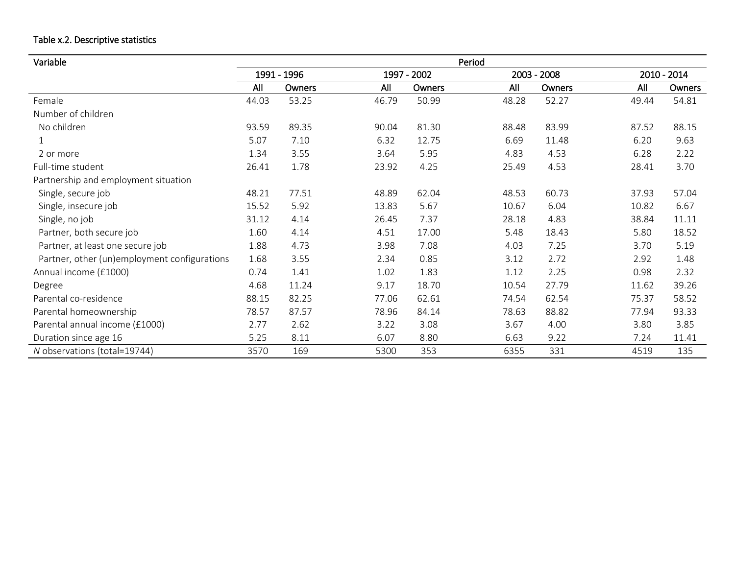# Table x.2. Descriptive statistics

| Variable                                     | Period      |        |       |             |       |             |       |             |  |
|----------------------------------------------|-------------|--------|-------|-------------|-------|-------------|-------|-------------|--|
|                                              | 1991 - 1996 |        |       | 1997 - 2002 |       | 2003 - 2008 |       | 2010 - 2014 |  |
|                                              | All         | Owners | All   | Owners      | All   | Owners      | All   | Owners      |  |
| Female                                       | 44.03       | 53.25  | 46.79 | 50.99       | 48.28 | 52.27       | 49.44 | 54.81       |  |
| Number of children                           |             |        |       |             |       |             |       |             |  |
| No children                                  | 93.59       | 89.35  | 90.04 | 81.30       | 88.48 | 83.99       | 87.52 | 88.15       |  |
|                                              | 5.07        | 7.10   | 6.32  | 12.75       | 6.69  | 11.48       | 6.20  | 9.63        |  |
| 2 or more                                    | 1.34        | 3.55   | 3.64  | 5.95        | 4.83  | 4.53        | 6.28  | 2.22        |  |
| Full-time student                            | 26.41       | 1.78   | 23.92 | 4.25        | 25.49 | 4.53        | 28.41 | 3.70        |  |
| Partnership and employment situation         |             |        |       |             |       |             |       |             |  |
| Single, secure job                           | 48.21       | 77.51  | 48.89 | 62.04       | 48.53 | 60.73       | 37.93 | 57.04       |  |
| Single, insecure job                         | 15.52       | 5.92   | 13.83 | 5.67        | 10.67 | 6.04        | 10.82 | 6.67        |  |
| Single, no job                               | 31.12       | 4.14   | 26.45 | 7.37        | 28.18 | 4.83        | 38.84 | 11.11       |  |
| Partner, both secure job                     | 1.60        | 4.14   | 4.51  | 17.00       | 5.48  | 18.43       | 5.80  | 18.52       |  |
| Partner, at least one secure job             | 1.88        | 4.73   | 3.98  | 7.08        | 4.03  | 7.25        | 3.70  | 5.19        |  |
| Partner, other (un)employment configurations | 1.68        | 3.55   | 2.34  | 0.85        | 3.12  | 2.72        | 2.92  | 1.48        |  |
| Annual income (£1000)                        | 0.74        | 1.41   | 1.02  | 1.83        | 1.12  | 2.25        | 0.98  | 2.32        |  |
| Degree                                       | 4.68        | 11.24  | 9.17  | 18.70       | 10.54 | 27.79       | 11.62 | 39.26       |  |
| Parental co-residence                        | 88.15       | 82.25  | 77.06 | 62.61       | 74.54 | 62.54       | 75.37 | 58.52       |  |
| Parental homeownership                       | 78.57       | 87.57  | 78.96 | 84.14       | 78.63 | 88.82       | 77.94 | 93.33       |  |
| Parental annual income (£1000)               | 2.77        | 2.62   | 3.22  | 3.08        | 3.67  | 4.00        | 3.80  | 3.85        |  |
| Duration since age 16                        | 5.25        | 8.11   | 6.07  | 8.80        | 6.63  | 9.22        | 7.24  | 11.41       |  |
| N observations (total=19744)                 | 3570        | 169    | 5300  | 353         | 6355  | 331         | 4519  | 135         |  |